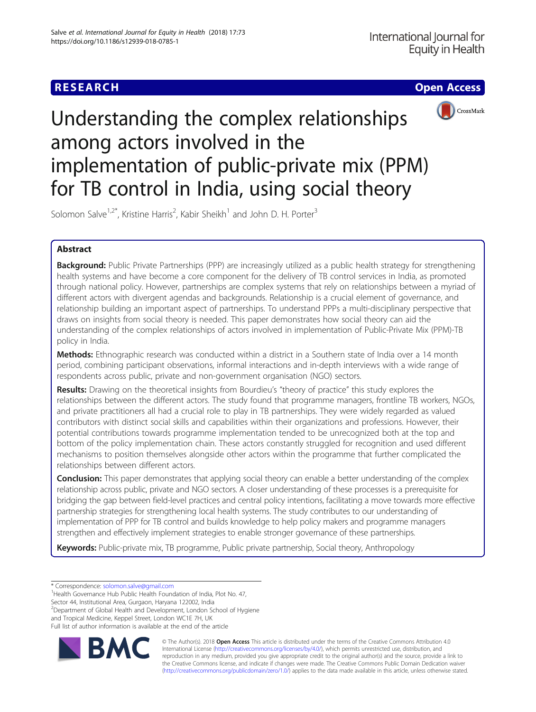

# Understanding the complex relationships among actors involved in the implementation of public-private mix (PPM) for TB control in India, using social theory

Solomon Salve<sup>1,2\*</sup>, Kristine Harris<sup>2</sup>, Kabir Sheikh<sup>1</sup> and John D. H. Porter<sup>3</sup>

# Abstract

Background: Public Private Partnerships (PPP) are increasingly utilized as a public health strategy for strengthening health systems and have become a core component for the delivery of TB control services in India, as promoted through national policy. However, partnerships are complex systems that rely on relationships between a myriad of different actors with divergent agendas and backgrounds. Relationship is a crucial element of governance, and relationship building an important aspect of partnerships. To understand PPPs a multi-disciplinary perspective that draws on insights from social theory is needed. This paper demonstrates how social theory can aid the understanding of the complex relationships of actors involved in implementation of Public-Private Mix (PPM)-TB policy in India.

Methods: Ethnographic research was conducted within a district in a Southern state of India over a 14 month period, combining participant observations, informal interactions and in-depth interviews with a wide range of respondents across public, private and non-government organisation (NGO) sectors.

Results: Drawing on the theoretical insights from Bourdieu's "theory of practice" this study explores the relationships between the different actors. The study found that programme managers, frontline TB workers, NGOs, and private practitioners all had a crucial role to play in TB partnerships. They were widely regarded as valued contributors with distinct social skills and capabilities within their organizations and professions. However, their potential contributions towards programme implementation tended to be unrecognized both at the top and bottom of the policy implementation chain. These actors constantly struggled for recognition and used different mechanisms to position themselves alongside other actors within the programme that further complicated the relationships between different actors.

**Conclusion:** This paper demonstrates that applying social theory can enable a better understanding of the complex relationship across public, private and NGO sectors. A closer understanding of these processes is a prerequisite for bridging the gap between field-level practices and central policy intentions, facilitating a move towards more effective partnership strategies for strengthening local health systems. The study contributes to our understanding of implementation of PPP for TB control and builds knowledge to help policy makers and programme managers strengthen and effectively implement strategies to enable stronger governance of these partnerships.

Keywords: Public-private mix, TB programme, Public private partnership, Social theory, Anthropology

\* Correspondence: [solomon.salve@gmail.com](mailto:solomon.salve@gmail.com) <sup>1</sup>

<sup>1</sup> Health Governance Hub Public Health Foundation of India, Plot No. 47,

Sector 44, Institutional Area, Gurgaon, Haryana 122002, India

2 Department of Global Health and Development, London School of Hygiene and Tropical Medicine, Keppel Street, London WC1E 7H, UK

Full list of author information is available at the end of the article



© The Author(s). 2018 Open Access This article is distributed under the terms of the Creative Commons Attribution 4.0 International License [\(http://creativecommons.org/licenses/by/4.0/](http://creativecommons.org/licenses/by/4.0/)), which permits unrestricted use, distribution, and reproduction in any medium, provided you give appropriate credit to the original author(s) and the source, provide a link to the Creative Commons license, and indicate if changes were made. The Creative Commons Public Domain Dedication waiver [\(http://creativecommons.org/publicdomain/zero/1.0/](http://creativecommons.org/publicdomain/zero/1.0/)) applies to the data made available in this article, unless otherwise stated.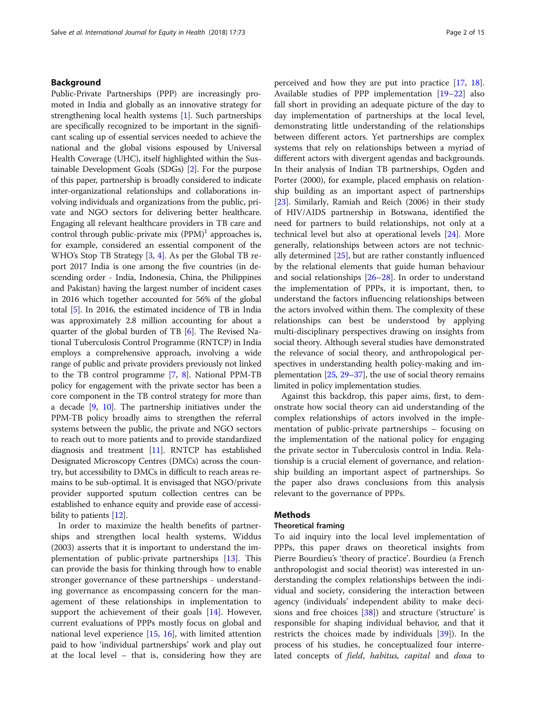# Background

Public-Private Partnerships (PPP) are increasingly promoted in India and globally as an innovative strategy for strengthening local health systems [[1\]](#page-12-0). Such partnerships are specifically recognized to be important in the significant scaling up of essential services needed to achieve the national and the global visions espoused by Universal Health Coverage (UHC), itself highlighted within the Sustainable Development Goals (SDGs) [\[2\]](#page-12-0). For the purpose of this paper, partnership is broadly considered to indicate inter-organizational relationships and collaborations involving individuals and organizations from the public, private and NGO sectors for delivering better healthcare. Engaging all relevant healthcare providers in TB care and control through public-private mix  $(PPM)^1$  approaches is, for example, considered an essential component of the WHO's Stop TB Strategy [[3,](#page-12-0) [4\]](#page-12-0). As per the Global TB report 2017 India is one among the five countries (in descending order - India, Indonesia, China, the Philippines and Pakistan) having the largest number of incident cases in 2016 which together accounted for 56% of the global total [\[5](#page-13-0)]. In 2016, the estimated incidence of TB in India was approximately 2.8 million accounting for about a quarter of the global burden of TB [[6\]](#page-13-0). The Revised National Tuberculosis Control Programme (RNTCP) in India employs a comprehensive approach, involving a wide range of public and private providers previously not linked to the TB control programme [[7](#page-13-0), [8\]](#page-13-0). National PPM-TB policy for engagement with the private sector has been a core component in the TB control strategy for more than a decade [\[9,](#page-13-0) [10\]](#page-13-0). The partnership initiatives under the PPM-TB policy broadly aims to strengthen the referral systems between the public, the private and NGO sectors to reach out to more patients and to provide standardized diagnosis and treatment [[11](#page-13-0)]. RNTCP has established Designated Microscopy Centres (DMCs) across the country, but accessibility to DMCs in difficult to reach areas remains to be sub-optimal. It is envisaged that NGO/private provider supported sputum collection centres can be established to enhance equity and provide ease of accessi-bility to patients [\[12\]](#page-13-0).

In order to maximize the health benefits of partnerships and strengthen local health systems, Widdus (2003) asserts that it is important to understand the implementation of public-private partnerships [[13](#page-13-0)]. This can provide the basis for thinking through how to enable stronger governance of these partnerships - understanding governance as encompassing concern for the management of these relationships in implementation to support the achievement of their goals  $[14]$  $[14]$ . However, current evaluations of PPPs mostly focus on global and national level experience [[15,](#page-13-0) [16](#page-13-0)], with limited attention paid to how 'individual partnerships' work and play out at the local level – that is, considering how they are perceived and how they are put into practice [[17,](#page-13-0) [18](#page-13-0)]. Available studies of PPP implementation [[19](#page-13-0)–[22](#page-13-0)] also fall short in providing an adequate picture of the day to day implementation of partnerships at the local level, demonstrating little understanding of the relationships between different actors. Yet partnerships are complex systems that rely on relationships between a myriad of different actors with divergent agendas and backgrounds. In their analysis of Indian TB partnerships, Ogden and Porter (2000), for example, placed emphasis on relationship building as an important aspect of partnerships [[23\]](#page-13-0). Similarly, Ramiah and Reich (2006) in their study of HIV/AIDS partnership in Botswana, identified the need for partners to build relationships, not only at a technical level but also at operational levels [\[24\]](#page-13-0). More generally, relationships between actors are not technically determined [\[25\]](#page-13-0), but are rather constantly influenced by the relational elements that guide human behaviour and social relationships [\[26](#page-13-0)–[28\]](#page-13-0). In order to understand the implementation of PPPs, it is important, then, to understand the factors influencing relationships between the actors involved within them. The complexity of these relationships can best be understood by applying multi-disciplinary perspectives drawing on insights from social theory. Although several studies have demonstrated the relevance of social theory, and anthropological perspectives in understanding health policy-making and implementation [[25](#page-13-0), [29](#page-13-0)–[37](#page-13-0)], the use of social theory remains limited in policy implementation studies.

Against this backdrop, this paper aims, first, to demonstrate how social theory can aid understanding of the complex relationships of actors involved in the implementation of public-private partnerships – focusing on the implementation of the national policy for engaging the private sector in Tuberculosis control in India. Relationship is a crucial element of governance, and relationship building an important aspect of partnerships. So the paper also draws conclusions from this analysis relevant to the governance of PPPs.

# **Methods**

# Theoretical framing

To aid inquiry into the local level implementation of PPPs, this paper draws on theoretical insights from Pierre Bourdieu's 'theory of practice'. Bourdieu (a French anthropologist and social theorist) was interested in understanding the complex relationships between the individual and society, considering the interaction between agency (individuals' independent ability to make decisions and free choices [[38\]](#page-13-0)) and structure ('structure' is responsible for shaping individual behavior, and that it restricts the choices made by individuals [[39\]](#page-13-0)). In the process of his studies, he conceptualized four interrelated concepts of field, habitus, capital and doxa to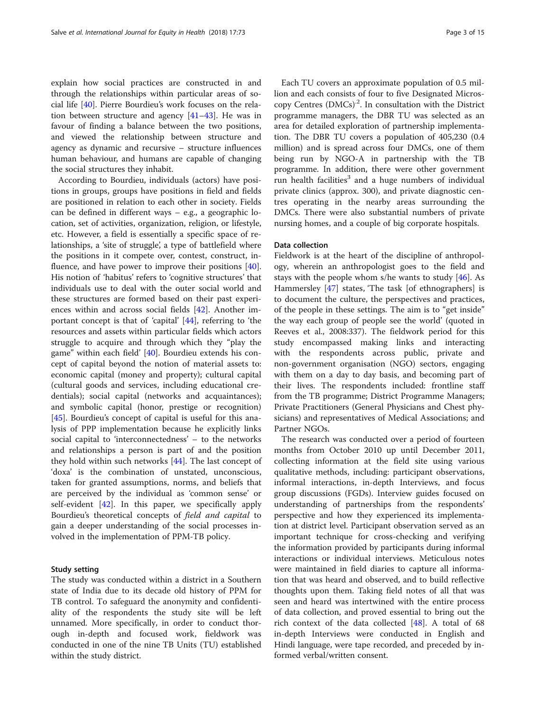explain how social practices are constructed in and through the relationships within particular areas of social life [[40\]](#page-13-0). Pierre Bourdieu's work focuses on the relation between structure and agency [\[41](#page-13-0)–[43\]](#page-13-0). He was in favour of finding a balance between the two positions, and viewed the relationship between structure and agency as dynamic and recursive – structure influences human behaviour, and humans are capable of changing the social structures they inhabit.

According to Bourdieu, individuals (actors) have positions in groups, groups have positions in field and fields are positioned in relation to each other in society. Fields can be defined in different ways – e.g., a geographic location, set of activities, organization, religion, or lifestyle, etc. However, a field is essentially a specific space of relationships, a 'site of struggle', a type of battlefield where the positions in it compete over, contest, construct, influence, and have power to improve their positions [\[40](#page-13-0)]. His notion of 'habitus' refers to 'cognitive structures' that individuals use to deal with the outer social world and these structures are formed based on their past experiences within and across social fields [\[42](#page-13-0)]. Another important concept is that of 'capital' [[44\]](#page-13-0), referring to 'the resources and assets within particular fields which actors struggle to acquire and through which they "play the game" within each field' [[40\]](#page-13-0). Bourdieu extends his concept of capital beyond the notion of material assets to: economic capital (money and property); cultural capital (cultural goods and services, including educational credentials); social capital (networks and acquaintances); and symbolic capital (honor, prestige or recognition) [[45\]](#page-13-0). Bourdieu's concept of capital is useful for this analysis of PPP implementation because he explicitly links social capital to 'interconnectedness' – to the networks and relationships a person is part of and the position they hold within such networks [[44\]](#page-13-0). The last concept of 'doxa' is the combination of unstated, unconscious, taken for granted assumptions, norms, and beliefs that are perceived by the individual as 'common sense' or self-evident  $[42]$ . In this paper, we specifically apply Bourdieu's theoretical concepts of field and capital to gain a deeper understanding of the social processes involved in the implementation of PPM-TB policy.

#### Study setting

The study was conducted within a district in a Southern state of India due to its decade old history of PPM for TB control. To safeguard the anonymity and confidentiality of the respondents the study site will be left unnamed. More specifically, in order to conduct thorough in-depth and focused work, fieldwork was conducted in one of the nine TB Units (TU) established within the study district.

Each TU covers an approximate population of 0.5 million and each consists of four to five Designated Microscopy Centres  $(DMCs)^2$ . In consultation with the District programme managers, the DBR TU was selected as an area for detailed exploration of partnership implementation. The DBR TU covers a population of 405,230 (0.4 million) and is spread across four DMCs, one of them being run by NGO-A in partnership with the TB programme. In addition, there were other government run health facilities $3$  and a huge numbers of individual private clinics (approx. 300), and private diagnostic centres operating in the nearby areas surrounding the DMCs. There were also substantial numbers of private nursing homes, and a couple of big corporate hospitals.

# Data collection

Fieldwork is at the heart of the discipline of anthropology, wherein an anthropologist goes to the field and stays with the people whom s/he wants to study  $[46]$  $[46]$ . As Hammersley [[47](#page-13-0)] states, 'The task [of ethnographers] is to document the culture, the perspectives and practices, of the people in these settings. The aim is to "get inside" the way each group of people see the world' (quoted in Reeves et al., 2008:337). The fieldwork period for this study encompassed making links and interacting with the respondents across public, private and non-government organisation (NGO) sectors, engaging with them on a day to day basis, and becoming part of their lives. The respondents included: frontline staff from the TB programme; District Programme Managers; Private Practitioners (General Physicians and Chest physicians) and representatives of Medical Associations; and Partner NGOs.

The research was conducted over a period of fourteen months from October 2010 up until December 2011, collecting information at the field site using various qualitative methods, including: participant observations, informal interactions, in-depth Interviews, and focus group discussions (FGDs). Interview guides focused on understanding of partnerships from the respondents' perspective and how they experienced its implementation at district level. Participant observation served as an important technique for cross-checking and verifying the information provided by participants during informal interactions or individual interviews. Meticulous notes were maintained in field diaries to capture all information that was heard and observed, and to build reflective thoughts upon them. Taking field notes of all that was seen and heard was intertwined with the entire process of data collection, and proved essential to bring out the rich context of the data collected  $[48]$  $[48]$  $[48]$ . A total of 68 in-depth Interviews were conducted in English and Hindi language, were tape recorded, and preceded by informed verbal/written consent.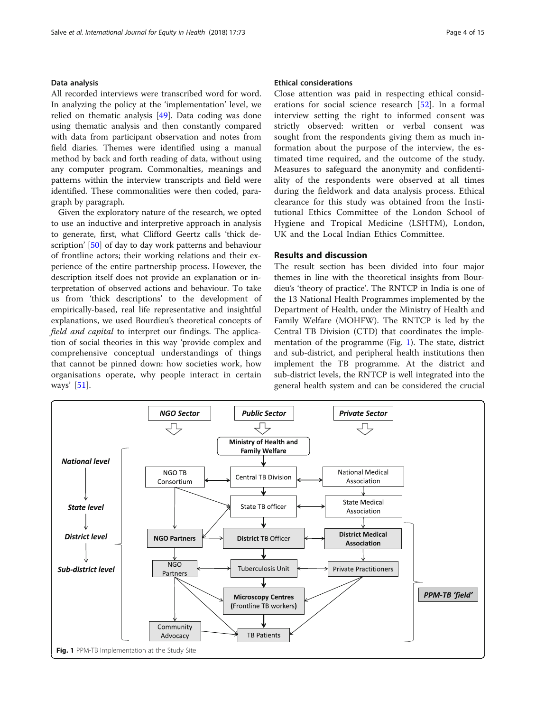# <span id="page-3-0"></span>Data analysis

All recorded interviews were transcribed word for word. In analyzing the policy at the 'implementation' level, we relied on thematic analysis [[49\]](#page-13-0). Data coding was done using thematic analysis and then constantly compared with data from participant observation and notes from field diaries. Themes were identified using a manual method by back and forth reading of data, without using any computer program. Commonalties, meanings and patterns within the interview transcripts and field were identified. These commonalities were then coded, paragraph by paragraph.

Given the exploratory nature of the research, we opted to use an inductive and interpretive approach in analysis to generate, first, what Clifford Geertz calls 'thick description' [[50](#page-13-0)] of day to day work patterns and behaviour of frontline actors; their working relations and their experience of the entire partnership process. However, the description itself does not provide an explanation or interpretation of observed actions and behaviour. To take us from 'thick descriptions' to the development of empirically-based, real life representative and insightful explanations, we used Bourdieu's theoretical concepts of field and capital to interpret our findings. The application of social theories in this way 'provide complex and comprehensive conceptual understandings of things that cannot be pinned down: how societies work, how organisations operate, why people interact in certain ways' [[51\]](#page-13-0).

## Ethical considerations

Close attention was paid in respecting ethical considerations for social science research [[52](#page-13-0)]. In a formal interview setting the right to informed consent was strictly observed: written or verbal consent was sought from the respondents giving them as much information about the purpose of the interview, the estimated time required, and the outcome of the study. Measures to safeguard the anonymity and confidentiality of the respondents were observed at all times during the fieldwork and data analysis process. Ethical clearance for this study was obtained from the Institutional Ethics Committee of the London School of Hygiene and Tropical Medicine (LSHTM), London, UK and the Local Indian Ethics Committee.

# Results and discussion

The result section has been divided into four major themes in line with the theoretical insights from Bourdieu's 'theory of practice'. The RNTCP in India is one of the 13 National Health Programmes implemented by the Department of Health, under the Ministry of Health and Family Welfare (MOHFW). The RNTCP is led by the Central TB Division (CTD) that coordinates the implementation of the programme (Fig. 1). The state, district and sub-district, and peripheral health institutions then implement the TB programme. At the district and sub-district levels, the RNTCP is well integrated into the general health system and can be considered the crucial

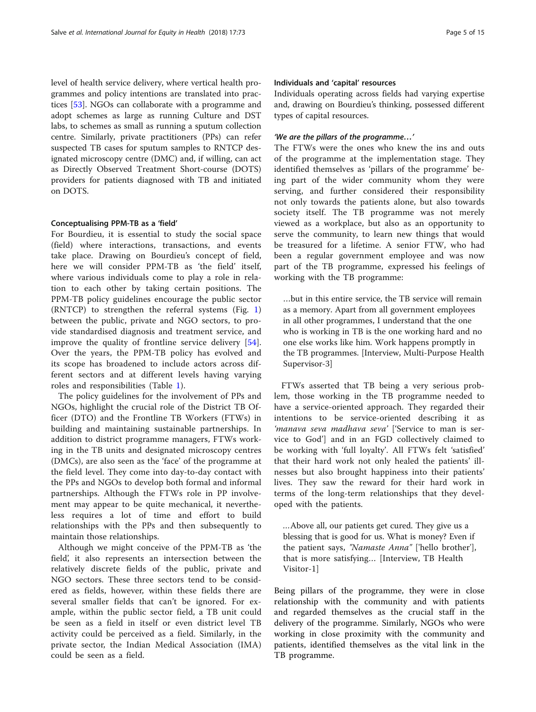level of health service delivery, where vertical health programmes and policy intentions are translated into practices [[53](#page-13-0)]. NGOs can collaborate with a programme and adopt schemes as large as running Culture and DST labs, to schemes as small as running a sputum collection centre. Similarly, private practitioners (PPs) can refer suspected TB cases for sputum samples to RNTCP designated microscopy centre (DMC) and, if willing, can act as Directly Observed Treatment Short-course (DOTS) providers for patients diagnosed with TB and initiated on DOTS.

## Conceptualising PPM-TB as a 'field'

For Bourdieu, it is essential to study the social space (field) where interactions, transactions, and events take place. Drawing on Bourdieu's concept of field, here we will consider PPM-TB as 'the field' itself, where various individuals come to play a role in relation to each other by taking certain positions. The PPM-TB policy guidelines encourage the public sector (RNTCP) to strengthen the referral systems (Fig. [1](#page-3-0)) between the public, private and NGO sectors, to provide standardised diagnosis and treatment service, and improve the quality of frontline service delivery [\[54](#page-13-0)]. Over the years, the PPM-TB policy has evolved and its scope has broadened to include actors across different sectors and at different levels having varying roles and responsibilities (Table [1\)](#page-5-0).

The policy guidelines for the involvement of PPs and NGOs, highlight the crucial role of the District TB Officer (DTO) and the Frontline TB Workers (FTWs) in building and maintaining sustainable partnerships. In addition to district programme managers, FTWs working in the TB units and designated microscopy centres (DMCs), are also seen as the 'face' of the programme at the field level. They come into day-to-day contact with the PPs and NGOs to develop both formal and informal partnerships. Although the FTWs role in PP involvement may appear to be quite mechanical, it nevertheless requires a lot of time and effort to build relationships with the PPs and then subsequently to maintain those relationships.

Although we might conceive of the PPM-TB as 'the field', it also represents an intersection between the relatively discrete fields of the public, private and NGO sectors. These three sectors tend to be considered as fields, however, within these fields there are several smaller fields that can't be ignored. For example, within the public sector field, a TB unit could be seen as a field in itself or even district level TB activity could be perceived as a field. Similarly, in the private sector, the Indian Medical Association (IMA) could be seen as a field.

# Individuals and 'capital' resources

Individuals operating across fields had varying expertise and, drawing on Bourdieu's thinking, possessed different types of capital resources.

## 'We are the pillars of the programme…'

The FTWs were the ones who knew the ins and outs of the programme at the implementation stage. They identified themselves as 'pillars of the programme' being part of the wider community whom they were serving, and further considered their responsibility not only towards the patients alone, but also towards society itself. The TB programme was not merely viewed as a workplace, but also as an opportunity to serve the community, to learn new things that would be treasured for a lifetime. A senior FTW, who had been a regular government employee and was now part of the TB programme, expressed his feelings of working with the TB programme:

…but in this entire service, the TB service will remain as a memory. Apart from all government employees in all other programmes, I understand that the one who is working in TB is the one working hard and no one else works like him. Work happens promptly in the TB programmes. [Interview, Multi-Purpose Health Supervisor-3]

FTWs asserted that TB being a very serious problem, those working in the TB programme needed to have a service-oriented approach. They regarded their intentions to be service-oriented describing it as 'manava seva madhava seva' ['Service to man is service to God'] and in an FGD collectively claimed to be working with 'full loyalty'. All FTWs felt 'satisfied' that their hard work not only healed the patients' illnesses but also brought happiness into their patients' lives. They saw the reward for their hard work in terms of the long-term relationships that they developed with the patients.

…Above all, our patients get cured. They give us a blessing that is good for us. What is money? Even if the patient says, "Namaste Anna" ['hello brother'], that is more satisfying… [Interview, TB Health Visitor-1]

Being pillars of the programme, they were in close relationship with the community and with patients and regarded themselves as the crucial staff in the delivery of the programme. Similarly, NGOs who were working in close proximity with the community and patients, identified themselves as the vital link in the TB programme.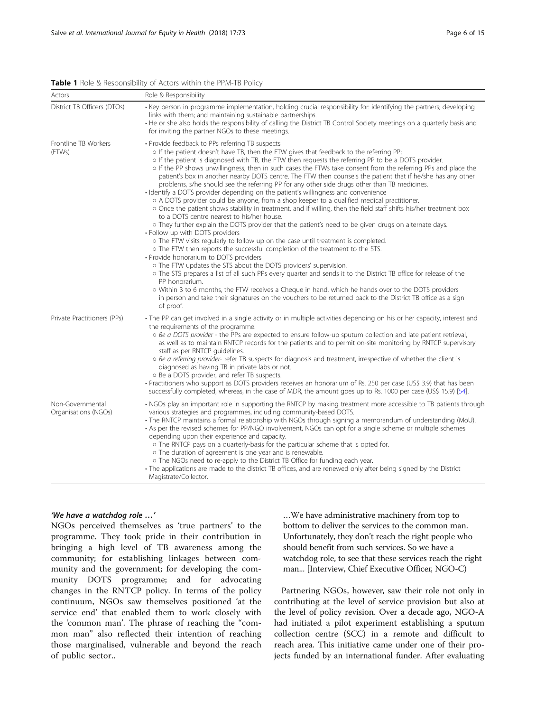<span id="page-5-0"></span>

| Table 1 Role & Responsibility of Actors within the PPM-TB Policy |  |  |  |  |
|------------------------------------------------------------------|--|--|--|--|
|------------------------------------------------------------------|--|--|--|--|

| Actors                                   | Role & Responsibility                                                                                                                                                                                                                                                                                                                                                                                                                                                                                                                                                                                                                                                                                                                                                                                                                                                                                                                                                                                                                                                                                                                                                                                                                                                                                                                                                                                                                                                                                                                                                                                                                                                                                                                                 |  |
|------------------------------------------|-------------------------------------------------------------------------------------------------------------------------------------------------------------------------------------------------------------------------------------------------------------------------------------------------------------------------------------------------------------------------------------------------------------------------------------------------------------------------------------------------------------------------------------------------------------------------------------------------------------------------------------------------------------------------------------------------------------------------------------------------------------------------------------------------------------------------------------------------------------------------------------------------------------------------------------------------------------------------------------------------------------------------------------------------------------------------------------------------------------------------------------------------------------------------------------------------------------------------------------------------------------------------------------------------------------------------------------------------------------------------------------------------------------------------------------------------------------------------------------------------------------------------------------------------------------------------------------------------------------------------------------------------------------------------------------------------------------------------------------------------------|--|
| District TB Officers (DTOs)              | • Key person in programme implementation, holding crucial responsibility for: identifying the partners; developing<br>links with them; and maintaining sustainable partnerships.<br>• He or she also holds the responsibility of calling the District TB Control Society meetings on a quarterly basis and<br>for inviting the partner NGOs to these meetings.                                                                                                                                                                                                                                                                                                                                                                                                                                                                                                                                                                                                                                                                                                                                                                                                                                                                                                                                                                                                                                                                                                                                                                                                                                                                                                                                                                                        |  |
| Frontline TB Workers<br>(FTWs)           | • Provide feedback to PPs referring TB suspects<br>o If the patient doesn't have TB, then the FTW gives that feedback to the referring PP;<br>o If the patient is diagnosed with TB, the FTW then requests the referring PP to be a DOTS provider.<br>o If the PP shows unwillingness, then in such cases the FTWs take consent from the referring PPs and place the<br>patient's box in another nearby DOTS centre. The FTW then counsels the patient that if he/she has any other<br>problems, s/he should see the referring PP for any other side drugs other than TB medicines.<br>• Identify a DOTS provider depending on the patient's willingness and convenience<br>○ A DOTS provider could be anyone, from a shop keeper to a qualified medical practitioner.<br>o Once the patient shows stability in treatment, and if willing, then the field staff shifts his/her treatment box<br>to a DOTS centre nearest to his/her house.<br>o They further explain the DOTS provider that the patient's need to be given drugs on alternate days.<br>• Follow up with DOTS providers<br>o The FTW visits regularly to follow up on the case until treatment is completed.<br>o The FTW then reports the successful completion of the treatment to the STS.<br>• Provide honorarium to DOTS providers<br>o The FTW updates the STS about the DOTS providers' supervision.<br>o The STS prepares a list of all such PPs every quarter and sends it to the District TB office for release of the<br>PP honorarium.<br>o Within 3 to 6 months, the FTW receives a Cheque in hand, which he hands over to the DOTS providers<br>in person and take their signatures on the vouchers to be returned back to the District TB office as a sign<br>of proof. |  |
| Private Practitioners (PPs)              | • The PP can get involved in a single activity or in multiple activities depending on his or her capacity, interest and<br>the requirements of the programme.<br>o Be a DOTS provider - the PPs are expected to ensure follow-up sputum collection and late patient retrieval,<br>as well as to maintain RNTCP records for the patients and to permit on-site monitoring by RNTCP supervisory<br>staff as per RNTCP guidelines.<br>o Be a referring provider- refer TB suspects for diagnosis and treatment, irrespective of whether the client is<br>diagnosed as having TB in private labs or not.<br>o Be a DOTS provider, and refer TB suspects.<br>• Practitioners who support as DOTS providers receives an honorarium of Rs. 250 per case (US\$ 3.9) that has been<br>successfully completed, whereas, in the case of MDR, the amount goes up to Rs. 1000 per case (US\$ 15.9) [54].                                                                                                                                                                                                                                                                                                                                                                                                                                                                                                                                                                                                                                                                                                                                                                                                                                                           |  |
| Non-Governmental<br>Organisations (NGOs) | . NGOs play an important role in supporting the RNTCP by making treatment more accessible to TB patients through<br>various strategies and programmes, including community-based DOTS.<br>• The RNTCP maintains a formal relationship with NGOs through signing a memorandum of understanding (MoU).<br>• As per the revised schemes for PP/NGO involvement, NGOs can opt for a single scheme or multiple schemes<br>depending upon their experience and capacity.<br>o The RNTCP pays on a quarterly-basis for the particular scheme that is opted for.<br>o The duration of agreement is one year and is renewable.<br>o The NGOs need to re-apply to the District TB Office for funding each year.<br>• The applications are made to the district TB offices, and are renewed only after being signed by the District<br>Magistrate/Collector.                                                                                                                                                                                                                                                                                                                                                                                                                                                                                                                                                                                                                                                                                                                                                                                                                                                                                                     |  |

## 'We have a watchdog role …'

NGOs perceived themselves as 'true partners' to the programme. They took pride in their contribution in bringing a high level of TB awareness among the community; for establishing linkages between community and the government; for developing the community DOTS programme; and for advocating changes in the RNTCP policy. In terms of the policy continuum, NGOs saw themselves positioned 'at the service end' that enabled them to work closely with the 'common man'. The phrase of reaching the "common man" also reflected their intention of reaching those marginalised, vulnerable and beyond the reach of public sector..

…We have administrative machinery from top to bottom to deliver the services to the common man. Unfortunately, they don't reach the right people who should benefit from such services. So we have a watchdog role, to see that these services reach the right man... [Interview, Chief Executive Officer, NGO-C)

Partnering NGOs, however, saw their role not only in contributing at the level of service provision but also at the level of policy revision. Over a decade ago, NGO-A had initiated a pilot experiment establishing a sputum collection centre (SCC) in a remote and difficult to reach area. This initiative came under one of their projects funded by an international funder. After evaluating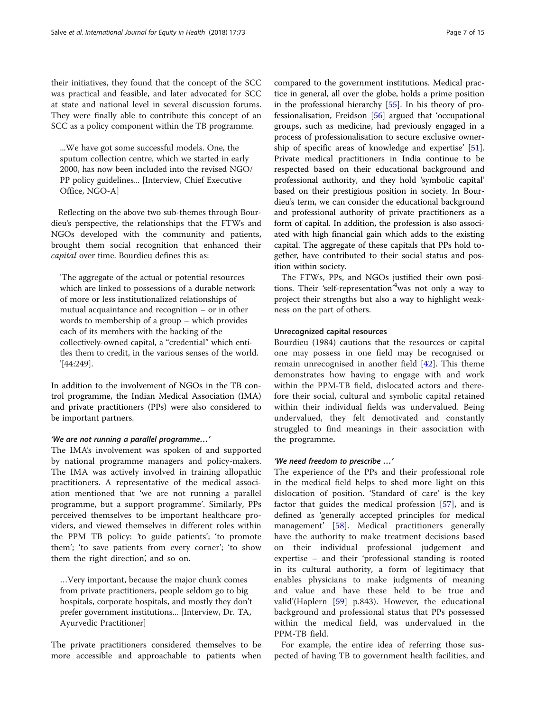their initiatives, they found that the concept of the SCC was practical and feasible, and later advocated for SCC at state and national level in several discussion forums. They were finally able to contribute this concept of an SCC as a policy component within the TB programme.

...We have got some successful models. One, the sputum collection centre, which we started in early 2000, has now been included into the revised NGO/ PP policy guidelines... [Interview, Chief Executive Office, NGO-A]

Reflecting on the above two sub-themes through Bourdieu's perspective, the relationships that the FTWs and NGOs developed with the community and patients, brought them social recognition that enhanced their capital over time. Bourdieu defines this as:

'The aggregate of the actual or potential resources which are linked to possessions of a durable network of more or less institutionalized relationships of mutual acquaintance and recognition – or in other words to membership of a group – which provides each of its members with the backing of the collectively-owned capital, a "credential" which entitles them to credit, in the various senses of the world. '[44:249].

In addition to the involvement of NGOs in the TB control programme, the Indian Medical Association (IMA) and private practitioners (PPs) were also considered to be important partners.

# 'We are not running a parallel programme…'

The IMA's involvement was spoken of and supported by national programme managers and policy-makers. The IMA was actively involved in training allopathic practitioners. A representative of the medical association mentioned that 'we are not running a parallel programme, but a support programme'. Similarly, PPs perceived themselves to be important healthcare providers, and viewed themselves in different roles within the PPM TB policy: 'to guide patients'; 'to promote them'; 'to save patients from every corner'; 'to show them the right direction', and so on.

…Very important, because the major chunk comes from private practitioners, people seldom go to big hospitals, corporate hospitals, and mostly they don't prefer government institutions... [Interview, Dr. TA, Ayurvedic Practitioner]

The private practitioners considered themselves to be more accessible and approachable to patients when compared to the government institutions. Medical practice in general, all over the globe, holds a prime position in the professional hierarchy [[55](#page-13-0)]. In his theory of professionalisation, Freidson [\[56](#page-13-0)] argued that 'occupational groups, such as medicine, had previously engaged in a process of professionalisation to secure exclusive ownership of specific areas of knowledge and expertise' [\[51](#page-13-0)]. Private medical practitioners in India continue to be respected based on their educational background and professional authority, and they hold 'symbolic capital' based on their prestigious position in society. In Bourdieu's term, we can consider the educational background and professional authority of private practitioners as a form of capital. In addition, the profession is also associated with high financial gain which adds to the existing capital. The aggregate of these capitals that PPs hold together, have contributed to their social status and position within society.

The FTWs, PPs, and NGOs justified their own positions. Their 'self-representation' 4 was not only a way to project their strengths but also a way to highlight weakness on the part of others.

#### Unrecognized capital resources

Bourdieu (1984) cautions that the resources or capital one may possess in one field may be recognised or remain unrecognised in another field [[42\]](#page-13-0). This theme demonstrates how having to engage with and work within the PPM-TB field, dislocated actors and therefore their social, cultural and symbolic capital retained within their individual fields was undervalued. Being undervalued, they felt demotivated and constantly struggled to find meanings in their association with the programme.

# 'We need freedom to prescribe …'

The experience of the PPs and their professional role in the medical field helps to shed more light on this dislocation of position. 'Standard of care' is the key factor that guides the medical profession [[57\]](#page-13-0), and is defined as 'generally accepted principles for medical management' [[58\]](#page-14-0). Medical practitioners generally have the authority to make treatment decisions based on their individual professional judgement and expertise – and their 'professional standing is rooted in its cultural authority, a form of legitimacy that enables physicians to make judgments of meaning and value and have these held to be true and valid'(Haplern [[59](#page-14-0)] p.843). However, the educational background and professional status that PPs possessed within the medical field, was undervalued in the PPM-TB field.

For example, the entire idea of referring those suspected of having TB to government health facilities, and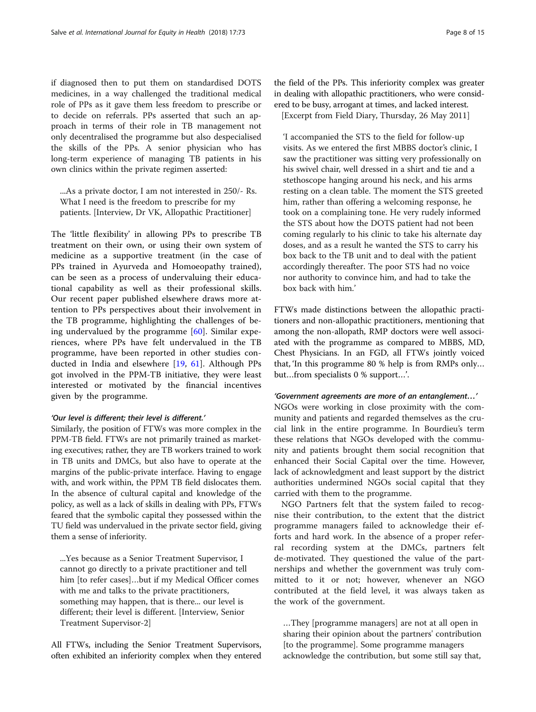if diagnosed then to put them on standardised DOTS medicines, in a way challenged the traditional medical role of PPs as it gave them less freedom to prescribe or to decide on referrals. PPs asserted that such an approach in terms of their role in TB management not only decentralised the programme but also despecialised the skills of the PPs. A senior physician who has long-term experience of managing TB patients in his own clinics within the private regimen asserted:

...As a private doctor, I am not interested in 250/- Rs. What I need is the freedom to prescribe for my patients. [Interview, Dr VK, Allopathic Practitioner]

The 'little flexibility' in allowing PPs to prescribe TB treatment on their own, or using their own system of medicine as a supportive treatment (in the case of PPs trained in Ayurveda and Homoeopathy trained), can be seen as a process of undervaluing their educational capability as well as their professional skills. Our recent paper published elsewhere draws more attention to PPs perspectives about their involvement in the TB programme, highlighting the challenges of being undervalued by the programme [[60](#page-14-0)]. Similar experiences, where PPs have felt undervalued in the TB programme, have been reported in other studies conducted in India and elsewhere [[19,](#page-13-0) [61](#page-14-0)]. Although PPs got involved in the PPM-TB initiative, they were least interested or motivated by the financial incentives given by the programme.

## 'Our level is different; their level is different.'

Similarly, the position of FTWs was more complex in the PPM-TB field. FTWs are not primarily trained as marketing executives; rather, they are TB workers trained to work in TB units and DMCs, but also have to operate at the margins of the public-private interface. Having to engage with, and work within, the PPM TB field dislocates them. In the absence of cultural capital and knowledge of the policy, as well as a lack of skills in dealing with PPs, FTWs feared that the symbolic capital they possessed within the TU field was undervalued in the private sector field, giving them a sense of inferiority.

...Yes because as a Senior Treatment Supervisor, I cannot go directly to a private practitioner and tell him [to refer cases]…but if my Medical Officer comes with me and talks to the private practitioners, something may happen, that is there... our level is different; their level is different. [Interview, Senior Treatment Supervisor-2]

All FTWs, including the Senior Treatment Supervisors, often exhibited an inferiority complex when they entered

the field of the PPs. This inferiority complex was greater in dealing with allopathic practitioners, who were considered to be busy, arrogant at times, and lacked interest. [Excerpt from Field Diary, Thursday, 26 May 2011]

'I accompanied the STS to the field for follow-up visits. As we entered the first MBBS doctor's clinic, I saw the practitioner was sitting very professionally on his swivel chair, well dressed in a shirt and tie and a stethoscope hanging around his neck, and his arms resting on a clean table. The moment the STS greeted him, rather than offering a welcoming response, he took on a complaining tone. He very rudely informed the STS about how the DOTS patient had not been coming regularly to his clinic to take his alternate day doses, and as a result he wanted the STS to carry his box back to the TB unit and to deal with the patient accordingly thereafter. The poor STS had no voice nor authority to convince him, and had to take the box back with him.'

FTWs made distinctions between the allopathic practitioners and non-allopathic practitioners, mentioning that among the non-allopath, RMP doctors were well associated with the programme as compared to MBBS, MD, Chest Physicians. In an FGD, all FTWs jointly voiced that, 'In this programme 80 % help is from RMPs only… but…from specialists 0 % support…'.

#### 'Government agreements are more of an entanglement…'

NGOs were working in close proximity with the community and patients and regarded themselves as the crucial link in the entire programme. In Bourdieu's term these relations that NGOs developed with the community and patients brought them social recognition that enhanced their Social Capital over the time. However, lack of acknowledgment and least support by the district authorities undermined NGOs social capital that they carried with them to the programme.

NGO Partners felt that the system failed to recognise their contribution, to the extent that the district programme managers failed to acknowledge their efforts and hard work. In the absence of a proper referral recording system at the DMCs, partners felt de-motivated. They questioned the value of the partnerships and whether the government was truly committed to it or not; however, whenever an NGO contributed at the field level, it was always taken as the work of the government.

…They [programme managers] are not at all open in sharing their opinion about the partners' contribution [to the programme]. Some programme managers acknowledge the contribution, but some still say that,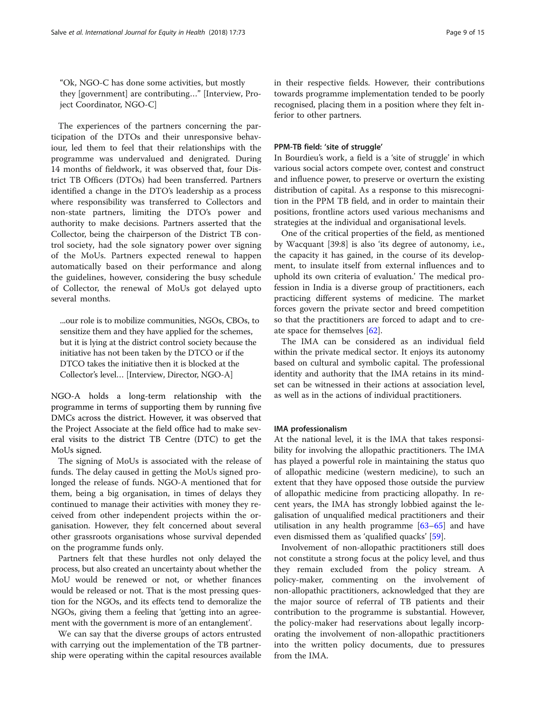"Ok, NGO-C has done some activities, but mostly they [government] are contributing…" [Interview, Project Coordinator, NGO-C]

The experiences of the partners concerning the participation of the DTOs and their unresponsive behaviour, led them to feel that their relationships with the programme was undervalued and denigrated. During 14 months of fieldwork, it was observed that, four District TB Officers (DTOs) had been transferred. Partners identified a change in the DTO's leadership as a process where responsibility was transferred to Collectors and non-state partners, limiting the DTO's power and authority to make decisions. Partners asserted that the Collector, being the chairperson of the District TB control society, had the sole signatory power over signing of the MoUs. Partners expected renewal to happen automatically based on their performance and along the guidelines, however, considering the busy schedule of Collector, the renewal of MoUs got delayed upto several months.

...our role is to mobilize communities, NGOs, CBOs, to sensitize them and they have applied for the schemes, but it is lying at the district control society because the initiative has not been taken by the DTCO or if the DTCO takes the initiative then it is blocked at the Collector's level… [Interview, Director, NGO-A]

NGO-A holds a long-term relationship with the programme in terms of supporting them by running five DMCs across the district. However, it was observed that the Project Associate at the field office had to make several visits to the district TB Centre (DTC) to get the MoUs signed.

The signing of MoUs is associated with the release of funds. The delay caused in getting the MoUs signed prolonged the release of funds. NGO-A mentioned that for them, being a big organisation, in times of delays they continued to manage their activities with money they received from other independent projects within the organisation. However, they felt concerned about several other grassroots organisations whose survival depended on the programme funds only.

Partners felt that these hurdles not only delayed the process, but also created an uncertainty about whether the MoU would be renewed or not, or whether finances would be released or not. That is the most pressing question for the NGOs, and its effects tend to demoralize the NGOs, giving them a feeling that 'getting into an agreement with the government is more of an entanglement'.

We can say that the diverse groups of actors entrusted with carrying out the implementation of the TB partnership were operating within the capital resources available in their respective fields. However, their contributions towards programme implementation tended to be poorly recognised, placing them in a position where they felt inferior to other partners.

## PPM-TB field: 'site of struggle'

In Bourdieu's work, a field is a 'site of struggle' in which various social actors compete over, contest and construct and influence power, to preserve or overturn the existing distribution of capital. As a response to this misrecognition in the PPM TB field, and in order to maintain their positions, frontline actors used various mechanisms and strategies at the individual and organisational levels.

One of the critical properties of the field, as mentioned by Wacquant [39:8] is also 'its degree of autonomy, i.e., the capacity it has gained, in the course of its development, to insulate itself from external influences and to uphold its own criteria of evaluation.' The medical profession in India is a diverse group of practitioners, each practicing different systems of medicine. The market forces govern the private sector and breed competition so that the practitioners are forced to adapt and to create space for themselves [[62\]](#page-14-0).

The IMA can be considered as an individual field within the private medical sector. It enjoys its autonomy based on cultural and symbolic capital. The professional identity and authority that the IMA retains in its mindset can be witnessed in their actions at association level, as well as in the actions of individual practitioners.

#### IMA professionalism

At the national level, it is the IMA that takes responsibility for involving the allopathic practitioners. The IMA has played a powerful role in maintaining the status quo of allopathic medicine (western medicine), to such an extent that they have opposed those outside the purview of allopathic medicine from practicing allopathy. In recent years, the IMA has strongly lobbied against the legalisation of unqualified medical practitioners and their utilisation in any health programme  $[63-65]$  $[63-65]$  $[63-65]$  $[63-65]$  $[63-65]$  and have even dismissed them as 'qualified quacks' [\[59](#page-14-0)].

Involvement of non-allopathic practitioners still does not constitute a strong focus at the policy level, and thus they remain excluded from the policy stream. A policy-maker, commenting on the involvement of non-allopathic practitioners, acknowledged that they are the major source of referral of TB patients and their contribution to the programme is substantial. However, the policy-maker had reservations about legally incorporating the involvement of non-allopathic practitioners into the written policy documents, due to pressures from the IMA.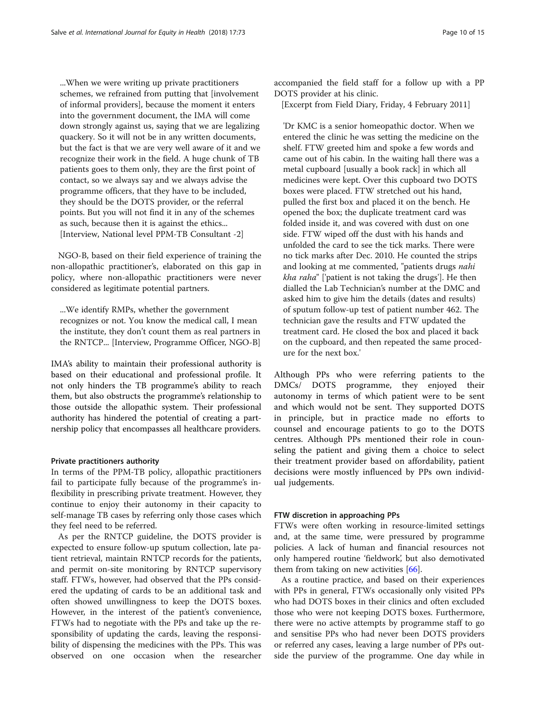...When we were writing up private practitioners schemes, we refrained from putting that [involvement of informal providers], because the moment it enters into the government document, the IMA will come down strongly against us, saying that we are legalizing quackery. So it will not be in any written documents, but the fact is that we are very well aware of it and we recognize their work in the field. A huge chunk of TB patients goes to them only, they are the first point of contact, so we always say and we always advise the programme officers, that they have to be included, they should be the DOTS provider, or the referral points. But you will not find it in any of the schemes as such, because then it is against the ethics... [Interview, National level PPM-TB Consultant -2]

NGO-B, based on their field experience of training the non-allopathic practitioner's, elaborated on this gap in policy, where non-allopathic practitioners were never considered as legitimate potential partners.

...We identify RMPs, whether the government recognizes or not. You know the medical call, I mean the institute, they don't count them as real partners in the RNTCP... [Interview, Programme Officer, NGO-B]

IMA's ability to maintain their professional authority is based on their educational and professional profile. It not only hinders the TB programme's ability to reach them, but also obstructs the programme's relationship to those outside the allopathic system. Their professional authority has hindered the potential of creating a partnership policy that encompasses all healthcare providers.

# Private practitioners authority

In terms of the PPM-TB policy, allopathic practitioners fail to participate fully because of the programme's inflexibility in prescribing private treatment. However, they continue to enjoy their autonomy in their capacity to self-manage TB cases by referring only those cases which they feel need to be referred.

As per the RNTCP guideline, the DOTS provider is expected to ensure follow-up sputum collection, late patient retrieval, maintain RNTCP records for the patients, and permit on-site monitoring by RNTCP supervisory staff. FTWs, however, had observed that the PPs considered the updating of cards to be an additional task and often showed unwillingness to keep the DOTS boxes. However, in the interest of the patient's convenience, FTWs had to negotiate with the PPs and take up the responsibility of updating the cards, leaving the responsibility of dispensing the medicines with the PPs. This was observed on one occasion when the researcher accompanied the field staff for a follow up with a PP DOTS provider at his clinic.

[Excerpt from Field Diary, Friday, 4 February 2011]

'Dr KMC is a senior homeopathic doctor. When we entered the clinic he was setting the medicine on the shelf. FTW greeted him and spoke a few words and came out of his cabin. In the waiting hall there was a metal cupboard [usually a book rack] in which all medicines were kept. Over this cupboard two DOTS boxes were placed. FTW stretched out his hand, pulled the first box and placed it on the bench. He opened the box; the duplicate treatment card was folded inside it, and was covered with dust on one side. FTW wiped off the dust with his hands and unfolded the card to see the tick marks. There were no tick marks after Dec. 2010. He counted the strips and looking at me commented, "patients drugs nahi kha raha" ['patient is not taking the drugs']. He then dialled the Lab Technician's number at the DMC and asked him to give him the details (dates and results) of sputum follow-up test of patient number 462. The technician gave the results and FTW updated the treatment card. He closed the box and placed it back on the cupboard, and then repeated the same procedure for the next box.'

Although PPs who were referring patients to the DMCs/ DOTS programme, they enjoyed their autonomy in terms of which patient were to be sent and which would not be sent. They supported DOTS in principle, but in practice made no efforts to counsel and encourage patients to go to the DOTS centres. Although PPs mentioned their role in counseling the patient and giving them a choice to select their treatment provider based on affordability, patient decisions were mostly influenced by PPs own individual judgements.

# FTW discretion in approaching PPs

FTWs were often working in resource-limited settings and, at the same time, were pressured by programme policies. A lack of human and financial resources not only hampered routine 'fieldwork', but also demotivated them from taking on new activities [\[66](#page-14-0)].

As a routine practice, and based on their experiences with PPs in general, FTWs occasionally only visited PPs who had DOTS boxes in their clinics and often excluded those who were not keeping DOTS boxes. Furthermore, there were no active attempts by programme staff to go and sensitise PPs who had never been DOTS providers or referred any cases, leaving a large number of PPs outside the purview of the programme. One day while in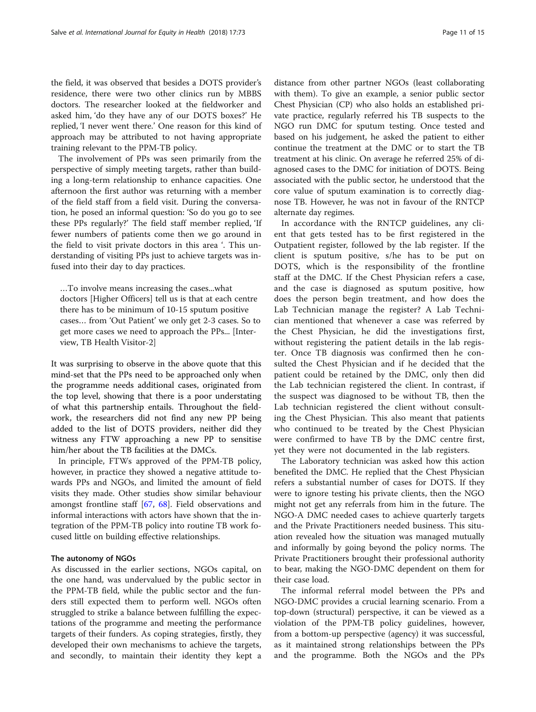the field, it was observed that besides a DOTS provider's residence, there were two other clinics run by MBBS doctors. The researcher looked at the fieldworker and asked him, 'do they have any of our DOTS boxes?' He replied, 'I never went there.' One reason for this kind of approach may be attributed to not having appropriate training relevant to the PPM-TB policy.

The involvement of PPs was seen primarily from the perspective of simply meeting targets, rather than building a long-term relationship to enhance capacities. One afternoon the first author was returning with a member of the field staff from a field visit. During the conversation, he posed an informal question: 'So do you go to see these PPs regularly?' The field staff member replied, 'If fewer numbers of patients come then we go around in the field to visit private doctors in this area '. This understanding of visiting PPs just to achieve targets was infused into their day to day practices.

…To involve means increasing the cases...what doctors [Higher Officers] tell us is that at each centre there has to be minimum of 10-15 sputum positive cases… from 'Out Patient' we only get 2-3 cases. So to get more cases we need to approach the PPs... [Interview, TB Health Visitor-2]

It was surprising to observe in the above quote that this mind-set that the PPs need to be approached only when the programme needs additional cases, originated from the top level, showing that there is a poor understating of what this partnership entails. Throughout the fieldwork, the researchers did not find any new PP being added to the list of DOTS providers, neither did they witness any FTW approaching a new PP to sensitise him/her about the TB facilities at the DMCs.

In principle, FTWs approved of the PPM-TB policy, however, in practice they showed a negative attitude towards PPs and NGOs, and limited the amount of field visits they made. Other studies show similar behaviour amongst frontline staff [[67,](#page-14-0) [68](#page-14-0)]. Field observations and informal interactions with actors have shown that the integration of the PPM-TB policy into routine TB work focused little on building effective relationships.

# The autonomy of NGOs

As discussed in the earlier sections, NGOs capital, on the one hand, was undervalued by the public sector in the PPM-TB field, while the public sector and the funders still expected them to perform well. NGOs often struggled to strike a balance between fulfilling the expectations of the programme and meeting the performance targets of their funders. As coping strategies, firstly, they developed their own mechanisms to achieve the targets, and secondly, to maintain their identity they kept a distance from other partner NGOs (least collaborating with them). To give an example, a senior public sector Chest Physician (CP) who also holds an established private practice, regularly referred his TB suspects to the NGO run DMC for sputum testing. Once tested and based on his judgement, he asked the patient to either continue the treatment at the DMC or to start the TB treatment at his clinic. On average he referred 25% of diagnosed cases to the DMC for initiation of DOTS. Being associated with the public sector, he understood that the core value of sputum examination is to correctly diagnose TB. However, he was not in favour of the RNTCP alternate day regimes.

In accordance with the RNTCP guidelines, any client that gets tested has to be first registered in the Outpatient register, followed by the lab register. If the client is sputum positive, s/he has to be put on DOTS, which is the responsibility of the frontline staff at the DMC. If the Chest Physician refers a case, and the case is diagnosed as sputum positive, how does the person begin treatment, and how does the Lab Technician manage the register? A Lab Technician mentioned that whenever a case was referred by the Chest Physician, he did the investigations first, without registering the patient details in the lab register. Once TB diagnosis was confirmed then he consulted the Chest Physician and if he decided that the patient could be retained by the DMC, only then did the Lab technician registered the client. In contrast, if the suspect was diagnosed to be without TB, then the Lab technician registered the client without consulting the Chest Physician. This also meant that patients who continued to be treated by the Chest Physician were confirmed to have TB by the DMC centre first, yet they were not documented in the lab registers.

The Laboratory technician was asked how this action benefited the DMC. He replied that the Chest Physician refers a substantial number of cases for DOTS. If they were to ignore testing his private clients, then the NGO might not get any referrals from him in the future. The NGO-A DMC needed cases to achieve quarterly targets and the Private Practitioners needed business. This situation revealed how the situation was managed mutually and informally by going beyond the policy norms. The Private Practitioners brought their professional authority to bear, making the NGO-DMC dependent on them for their case load.

The informal referral model between the PPs and NGO-DMC provides a crucial learning scenario. From a top-down (structural) perspective, it can be viewed as a violation of the PPM-TB policy guidelines, however, from a bottom-up perspective (agency) it was successful, as it maintained strong relationships between the PPs and the programme. Both the NGOs and the PPs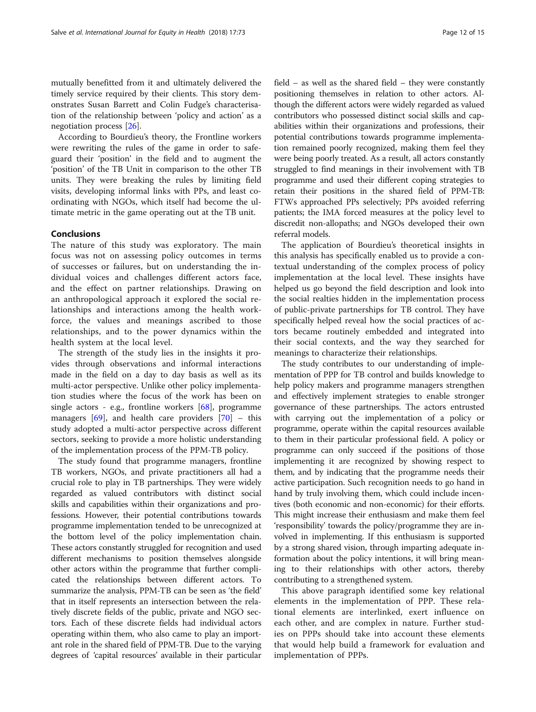mutually benefitted from it and ultimately delivered the timely service required by their clients. This story demonstrates Susan Barrett and Colin Fudge's characterisation of the relationship between 'policy and action' as a negotiation process [\[26\]](#page-13-0).

According to Bourdieu's theory, the Frontline workers were rewriting the rules of the game in order to safeguard their 'position' in the field and to augment the 'position' of the TB Unit in comparison to the other TB units. They were breaking the rules by limiting field visits, developing informal links with PPs, and least coordinating with NGOs, which itself had become the ultimate metric in the game operating out at the TB unit.

## Conclusions

The nature of this study was exploratory. The main focus was not on assessing policy outcomes in terms of successes or failures, but on understanding the individual voices and challenges different actors face, and the effect on partner relationships. Drawing on an anthropological approach it explored the social relationships and interactions among the health workforce, the values and meanings ascribed to those relationships, and to the power dynamics within the health system at the local level.

The strength of the study lies in the insights it provides through observations and informal interactions made in the field on a day to day basis as well as its multi-actor perspective. Unlike other policy implementation studies where the focus of the work has been on single actors - e.g., frontline workers [\[68\]](#page-14-0), programme managers  $[69]$  $[69]$ , and health care providers  $[70]$  $[70]$  – this study adopted a multi-actor perspective across different sectors, seeking to provide a more holistic understanding of the implementation process of the PPM-TB policy.

The study found that programme managers, frontline TB workers, NGOs, and private practitioners all had a crucial role to play in TB partnerships. They were widely regarded as valued contributors with distinct social skills and capabilities within their organizations and professions. However, their potential contributions towards programme implementation tended to be unrecognized at the bottom level of the policy implementation chain. These actors constantly struggled for recognition and used different mechanisms to position themselves alongside other actors within the programme that further complicated the relationships between different actors. To summarize the analysis, PPM-TB can be seen as 'the field' that in itself represents an intersection between the relatively discrete fields of the public, private and NGO sectors. Each of these discrete fields had individual actors operating within them, who also came to play an important role in the shared field of PPM-TB. Due to the varying degrees of 'capital resources' available in their particular field – as well as the shared field – they were constantly positioning themselves in relation to other actors. Although the different actors were widely regarded as valued contributors who possessed distinct social skills and capabilities within their organizations and professions, their potential contributions towards programme implementation remained poorly recognized, making them feel they were being poorly treated. As a result, all actors constantly struggled to find meanings in their involvement with TB programme and used their different coping strategies to retain their positions in the shared field of PPM-TB: FTWs approached PPs selectively; PPs avoided referring patients; the IMA forced measures at the policy level to discredit non-allopaths; and NGOs developed their own referral models.

The application of Bourdieu's theoretical insights in this analysis has specifically enabled us to provide a contextual understanding of the complex process of policy implementation at the local level. These insights have helped us go beyond the field description and look into the social realties hidden in the implementation process of public-private partnerships for TB control. They have specifically helped reveal how the social practices of actors became routinely embedded and integrated into their social contexts, and the way they searched for meanings to characterize their relationships.

The study contributes to our understanding of implementation of PPP for TB control and builds knowledge to help policy makers and programme managers strengthen and effectively implement strategies to enable stronger governance of these partnerships. The actors entrusted with carrying out the implementation of a policy or programme, operate within the capital resources available to them in their particular professional field. A policy or programme can only succeed if the positions of those implementing it are recognized by showing respect to them, and by indicating that the programme needs their active participation. Such recognition needs to go hand in hand by truly involving them, which could include incentives (both economic and non-economic) for their efforts. This might increase their enthusiasm and make them feel 'responsibility' towards the policy/programme they are involved in implementing. If this enthusiasm is supported by a strong shared vision, through imparting adequate information about the policy intentions, it will bring meaning to their relationships with other actors, thereby contributing to a strengthened system.

This above paragraph identified some key relational elements in the implementation of PPP. These relational elements are interlinked, exert influence on each other, and are complex in nature. Further studies on PPPs should take into account these elements that would help build a framework for evaluation and implementation of PPPs.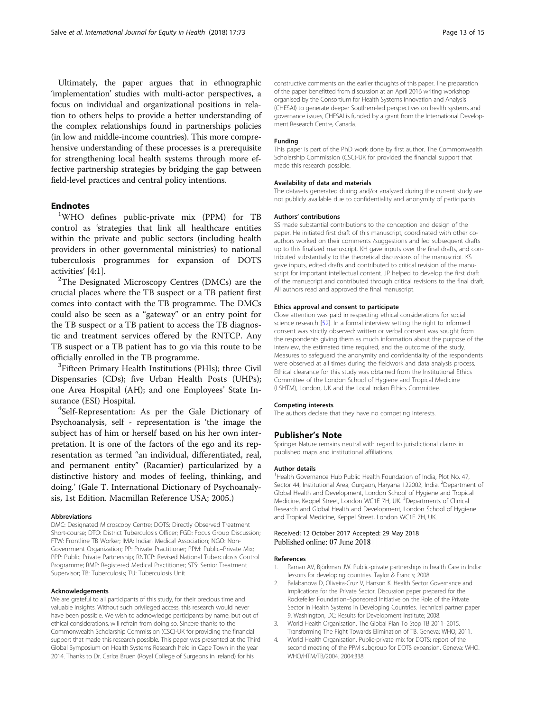<span id="page-12-0"></span>Ultimately, the paper argues that in ethnographic 'implementation' studies with multi-actor perspectives, a focus on individual and organizational positions in relation to others helps to provide a better understanding of the complex relationships found in partnerships policies (in low and middle-income countries). This more comprehensive understanding of these processes is a prerequisite for strengthening local health systems through more effective partnership strategies by bridging the gap between field-level practices and central policy intentions.

## **Endnotes**

WHO defines public-private mix (PPM) for TB control as 'strategies that link all healthcare entities within the private and public sectors (including health providers in other governmental ministries) to national tuberculosis programmes for expansion of DOTS activities' [4:1].

 $2^2$ The Designated Microscopy Centres (DMCs) are the crucial places where the TB suspect or a TB patient first comes into contact with the TB programme. The DMCs could also be seen as a "gateway" or an entry point for the TB suspect or a TB patient to access the TB diagnostic and treatment services offered by the RNTCP. Any TB suspect or a TB patient has to go via this route to be officially enrolled in the TB programme. <sup>3</sup>

<sup>3</sup> Fifteen Primary Health Institutions (PHIs); three Civil Dispensaries (CDs); five Urban Health Posts (UHPs); one Area Hospital (AH); and one Employees' State Insurance (ESI) Hospital.

<sup>4</sup>Self-Representation: As per the Gale Dictionary of Psychoanalysis, self - representation is 'the image the subject has of him or herself based on his her own interpretation. It is one of the factors of the ego and its representation as termed "an individual, differentiated, real, and permanent entity" (Racamier) particularized by a distinctive history and modes of feeling, thinking, and doing.' (Gale T. International Dictionary of Psychoanalysis, 1st Edition. Macmillan Reference USA; 2005.)

#### Abbreviations

DMC: Designated Microscopy Centre; DOTS: Directly Observed Treatment Short-course; DTO: District Tuberculosis Officer; FGD: Focus Group Discussion; FTW: Frontline TB Worker; IMA: Indian Medical Association; NGO: Non-Government Organization; PP: Private Practitioner; PPM: Public–Private Mix; PPP: Public Private Partnership; RNTCP: Revised National Tuberculosis Control Programme; RMP: Registered Medical Practitioner; STS: Senior Treatment Supervisor; TB: Tuberculosis; TU: Tuberculosis Unit

#### Acknowledgements

We are grateful to all participants of this study, for their precious time and valuable insights. Without such privileged access, this research would never have been possible. We wish to acknowledge participants by name, but out of ethical considerations, will refrain from doing so. Sincere thanks to the Commonwealth Scholarship Commission (CSC)-UK for providing the financial support that made this research possible. This paper was presented at the Third Global Symposium on Health Systems Research held in Cape Town in the year 2014. Thanks to Dr. Carlos Bruen (Royal College of Surgeons in Ireland) for his

constructive comments on the earlier thoughts of this paper. The preparation of the paper benefitted from discussion at an April 2016 writing workshop organised by the Consortium for Health Systems Innovation and Analysis (CHESAI) to generate deeper Southern-led perspectives on health systems and governance issues, CHESAI is funded by a grant from the International Development Research Centre, Canada.

#### Funding

This paper is part of the PhD work done by first author. The Commonwealth Scholarship Commission (CSC)-UK for provided the financial support that made this research possible.

#### Availability of data and materials

The datasets generated during and/or analyzed during the current study are not publicly available due to confidentiality and anonymity of participants.

#### Authors' contributions

SS made substantial contributions to the conception and design of the paper. He initiated first draft of this manuscript, coordinated with other coauthors worked on their comments /suggestions and led subsequent drafts up to this finalized manuscript. KH gave inputs over the final drafts, and contributed substantially to the theoretical discussions of the manuscript. KS gave inputs, edited drafts and contributed to critical revision of the manuscript for important intellectual content. JP helped to develop the first draft of the manuscript and contributed through critical revisions to the final draft. All authors read and approved the final manuscript.

#### Ethics approval and consent to participate

Close attention was paid in respecting ethical considerations for social science research [\[52](#page-13-0)]. In a formal interview setting the right to informed consent was strictly observed: written or verbal consent was sought from the respondents giving them as much information about the purpose of the interview, the estimated time required, and the outcome of the study. Measures to safeguard the anonymity and confidentiality of the respondents were observed at all times during the fieldwork and data analysis process. Ethical clearance for this study was obtained from the Institutional Ethics Committee of the London School of Hygiene and Tropical Medicine (LSHTM), London, UK and the Local Indian Ethics Committee.

#### Competing interests

The authors declare that they have no competing interests.

#### Publisher's Note

Springer Nature remains neutral with regard to jurisdictional claims in published maps and institutional affiliations.

#### Author details

<sup>1</sup> Health Governance Hub Public Health Foundation of India, Plot No. 47 Sector 44, Institutional Area, Gurgaon, Haryana 122002, India. <sup>2</sup>Department of Global Health and Development, London School of Hygiene and Tropical Medicine, Keppel Street, London WC1E 7H, UK. <sup>3</sup>Departments of Clinical Research and Global Health and Development, London School of Hygiene and Tropical Medicine, Keppel Street, London WC1E 7H, UK.

## Received: 12 October 2017 Accepted: 29 May 2018 Published online: 07 June 2018

#### References

- 1. Raman AV, Björkman JW. Public-private partnerships in health Care in India: lessons for developing countries. Taylor & Francis; 2008.
- 2. Balabanova D, Oliveira-Cruz V, Hanson K. Health Sector Governance and Implications for the Private Sector. Discussion paper prepared for the Rockefeller Foundation–Sponsored Initiative on the Role of the Private Sector in Health Systems in Developing Countries. Technical partner paper 9. Washington, DC: Results for Development Institute; 2008.
- 3. World Health Organisation. The Global Plan To Stop TB 2011–2015. Transforming The Fight Towards Elimination of TB. Geneva: WHO; 2011.
- 4. World Health Organisation. Public-private mix for DOTS: report of the second meeting of the PPM subgroup for DOTS expansion. Geneva: WHO. WHO/HTM/TB/2004. 2004:338.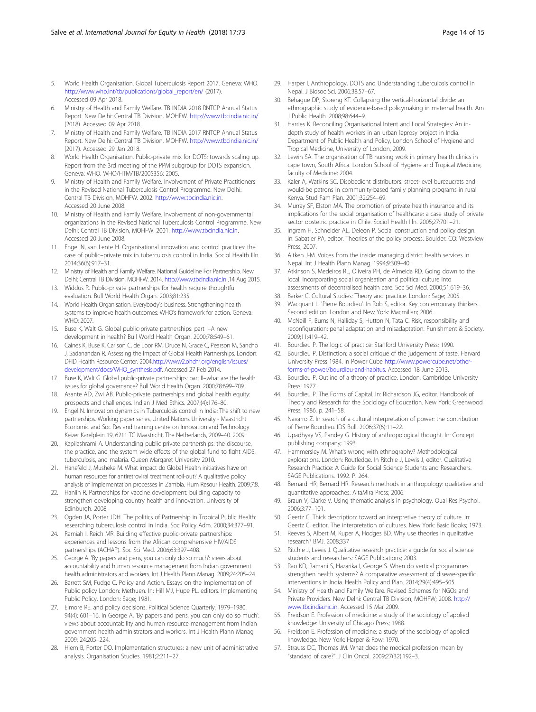- <span id="page-13-0"></span>5. World Health Organisation. Global Tuberculosis Report 2017. Geneva: WHO. [http://www.who.int/tb/publications/global\\_report/en/](http://www.who.int/tb/publications/global_report/en/) (2017). Accessed 09 Apr 2018.
- 6. Ministry of Health and Family Welfare. TB INDIA 2018 RNTCP Annual Status Report. New Delhi: Central TB Division, MOHFW. <http://www.tbcindia.nic.in/> (2018). Accessed 09 Apr 2018.
- 7. Ministry of Health and Family Welfare. TB INDIA 2017 RNTCP Annual Status Report. New Delhi: Central TB Division, MOHFW. <http://www.tbcindia.nic.in/> (2017). Accessed 29 Jan 2018.
- 8. World Health Organisation. Public-private mix for DOTS: towards scaling up. Report from the 3rd meeting of the PPM subgroup for DOTS expansion. Geneva: WHO. WHO/HTM/TB/2005356; 2005.
- 9. Ministry of Health and Family Welfare. Involvement of Private Practitioners in the Revised National Tuberculosis Control Programme. New Delhi: Central TB Division, MOHFW. 2002. <http://www.tbcindia.nic.in>. Accessed 20 June 2008.
- 10. Ministry of Health and Family Welfare. Involvement of non-governmental organizations in the Revised National Tuberculosis Control Programme. New Delhi: Central TB Division, MOHFW. 2001. <http://www.tbcindia.nic.in>. Accessed 20 June 2008.
- 11. Engel N, van Lente H. Organisational innovation and control practices: the case of public–private mix in tuberculosis control in India. Sociol Health Illn. 2014;36(6):917–31.
- 12. Ministry of Health and Family Welfare. National Guideline For Partnership. New Delhi: Central TB Division, MOHFW. 2014. <http://www.tbcindia.nic.in> .14 Aug 2015.
- 13. Widdus R. Public-private partnerships for health require thoughtful evaluation. Bull World Health Organ. 2003;81:235.
- 14. World Health Organisation. Everybody's business. Strengthening health systems to improve health outcomes: WHO's framework for action. Geneva: WHO; 2007.
- 15. Buse K, Walt G. Global public-private partnerships: part I–A new development in health? Bull World Health Organ. 2000;78:549–61.
- 16. Caines K, Buse K, Carlson C, de Loor RM, Druce N, Grace C, Pearson M, Sancho J, Sadanandan R. Assessing the Impact of Global Health Partnerships. London: DFID Health Resource Center. 2004.[http://www2.ohchr.org/english/issues/](http://www2.ohchr.org/english/issues/development/docs/WHO_synthesis.pdf) [development/docs/WHO\\_synthesis.pdf.](http://www2.ohchr.org/english/issues/development/docs/WHO_synthesis.pdf) Accessed 27 Feb 2014.
- 17. Buse K, Walt G. Global public-private partnerships: part II-what are the health issues for global governance? Bull World Health Organ. 2000;78:699–709.
- 18. Asante AD, Zwi AB. Public-private partnerships and global health equity: prospects and challlenges. Indian J Med Ethics. 2007;(4):176–80.
- 19. Engel N. Innovation dynamics in Tuberculosis control in India: The shift to new partnerships. Working paper series, United Nations University - Maastricht Economic and Soc Res and training centre on Innovation and Technology Keizer Karelplein 19, 6211 TC Maastricht, The Netherlands, 2009–40. 2009.
- 20. Kapilashrami A. Understanding public private partnerships: the discourse, the practice, and the system wide effects of the global fund to fight AIDS, tuberculosis, and malaria. Queen Margaret University 2010.
- 21. Hanefeld J, Musheke M, What impact do Global Health initiatives have on human resources for antiretroviral treatment roll-out? A qualitative policy analysis of implementation processes in Zambia. Hum Resour Health. 2009;7:8.
- 22. Hanlin R. Partnerships for vaccine development: building capacity to strengthen developing country health and innovation. University of Edinburgh. 2008.
- 23. Ogden JA, Porter JDH. The politics of Partnership in Tropical Public Health: researching tuberculosis control in India. Soc Policy Adm. 2000;34:377–91.
- 24. Ramiah I, Reich MR. Building effective public-private partnerships: experiences and lessons from the African comprehensive HIV/AIDS partnerships (ACHAP). Soc Sci Med. 2006;63:397–408.
- 25. George A. 'By papers and pens, you can only do so much': views about accountability and human resource management from Indian government health administrators and workers. Int J Health Plann Manag. 2009;24:205–24.
- 26. Barrett SM, Fudge C. Policy and Action. Essays on the Implementation of Public policy London: Methuen. In: Hill MJ, Hupe PL, editors. Implementing Public Policy. London: Sage; 1981.
- 27. Elmore RE. and policy decisions. Political Science Quarterly. 1979–1980. 94(4): 601–16. In George A. 'By papers and pens, you can only do so much': views about accountability and human resource management from Indian government health administrators and workers. Int J Health Plann Manag 2009; 24:205–224.
- 28. Hjern B, Porter DO. Implementation structures: a new unit of administrative analysis. Organisation Studies. 1981;2:211–27.
- 29. Harper I. Anthropology, DOTS and Understanding tuberculosis control in Nepal. J Biosoc Sci. 2006;38:57–67.
- 30. Behague DP, Storeng KT. Collapsing the vertical-horizontal divide: an ethnographic study of evidence-based policymaking in maternal health. Am J Public Health. 2008;98:644–9.
- 31. Harries K. Reconciling Organisational Intent and Local Strategies: An indepth study of health workers in an urban leprosy project in India. Department of Public Health and Policy, London School of Hygiene and Tropical Medicine, University of London, 2009.
- 32. Lewin SA. The organisation of TB nursing work in primary health clinics in cape town, South Africa. London School of Hygiene and Tropical Medicine, faculty of Medicine; 2004.
- 33. Kaler A, Watkins SC. Disobedient distributors: street-level bureaucrats and would-be patrons in community-based family planning programs in rural Kenya. Stud Fam Plan. 2001;32:254–69.
- 34. Murray SF, Elston MA. The promotion of private health insurance and its implications for the social organisation of healthcare: a case study of private sector obstetric practice in Chile. Sociol Health Illn. 2005;27:701–21.
- 35. Ingram H, Schneider AL, Deleon P. Social construction and policy design. In: Sabatier PA, editor. Theories of the policy process. Boulder: CO: Westview Press; 2007.
- 36. Aitken J-M. Voices from the inside: managing district health services in Nepal. Int J Health Plann Manag. 1994;9:309–40.
- 37. Atkinson S, Medeiros RL, Oliveira PH, de Almeida RD. Going down to the local: incorporating social organisation and political culture into assessments of decentralised health care. Soc Sci Med. 2000;51:619–36.
- 38. Barker C. Cultural Studies: Theory and practice. London: Sage; 2005.
- 39. Wacquant L. 'Pierre Bourdieu'. In Rob S, editor. Key contemporary thinkers. Second edition. London and New York: Macmillan; 2006.
- 40. McNeill F, Burns N, Halliday S, Hutton N, Tata C. Risk, responsibility and reconfiguration: penal adaptation and misadaptation. Punishment & Society. 2009;11:419–42.
- 41. Bourdieu P. The logic of practice: Stanford University Press; 1990.
- 42. Bourdieu P. Distinction: a social critique of the judgement of taste. Harvard University Press 1984. In Power Cube [http://www.powercube.net/other](http://www.powercube.net/other-forms-of-power/bourdieu-and-habitus)[forms-of-power/bourdieu-and-habitus.](http://www.powercube.net/other-forms-of-power/bourdieu-and-habitus) Accessed 18 June 2013.
- 43. Bourdieu P. Outline of a theory of practice. London: Cambridge University Press; 1977.
- 44. Bourdieu P. The Forms of Capital. In: Richardson JG, editor. Handbook of Theory and Research for the Sociology of Education. New York: Greenwood Press; 1986. p. 241–58.
- 45. Navarro Z. In search of a cultural interpretation of power: the contribution of Pierre Bourdieu. IDS Bull. 2006;37(6):11–22.
- 46. Upadhyay VS, Pandey G. History of anthropological thought. In: Concept publishing company; 1993.
- 47. Hammersley M. What's wrong with ethnography? Methodological explorations. London: Routledge. In Ritchie J, Lewis J, editor. Qualitative Research Practice: A Guide for Social Science Students and Researchers. SAGE Publications. 1992. P. 264.
- 48. Bernard HR, Bernard HR. Research methods in anthropology: qualitative and quantitative approaches: AltaMira Press; 2006.
- 49. Braun V, Clarke V. Using thematic analysis in psychology. Qual Res Psychol. 2006;3:77–101.
- 50. Geertz C. Thick description: toward an interpretive theory of culture. In: Geertz C, editor. The interpretation of cultures. New York: Basic Books; 1973.
- 51. Reeves S, Albert M, Kuper A, Hodges BD. Why use theories in qualitative research? BMJ. 2008;337
- 52. Ritchie J, Lewis J. Qualitative research practice: a guide for social science students and researchers: SAGE Publications; 2003.
- 53. Rao KD, Ramani S, Hazarika I, George S. When do vertical programmes strengthen health systems? A comparative assessment of disease-specific interventions in India. Health Policy and Plan. 2014;29(4):495–505.
- 54. Ministry of Health and Family Welfare. Revised Schemes for NGOs and Private Providers. New Delhi: Central TB Division, MOHFW; 2008. [http://](http://www.tbcindia.nic.in) [www.tbcindia.nic.in](http://www.tbcindia.nic.in). Accessed 15 Mar 2009.
- 55. Freidson E. Profession of medicine: a study of the sociology of applied knowledge: University of Chicago Press; 1988.
- 56. Freidson E. Profession of medicine: a study of the sociology of applied knowledge. New York: Harper & Row; 1970.
- 57. Strauss DC, Thomas JM. What does the medical profession mean by "standard of care?". J Clin Oncol. 2009;27(32):192–3.